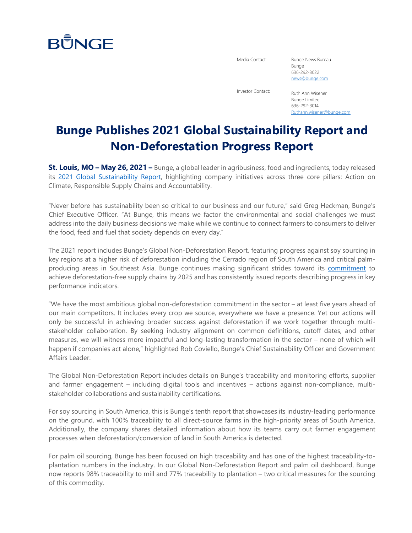## **BUNGE**

Media Contact: Bunge News Bureau Bunge 636-292-3022 [news@bunge.com](mailto:%20news@bunge.com)

Investor Contact: Ruth Ann Wisener Bunge Limited 636-292-3014 [Ruthann.wisener@bunge.com](mailto:Ruthann.wisener@bunge.com)

## **Bunge Publishes 2021 Global Sustainability Report and Non-Deforestation Progress Report**

**St. Louis, MO – May 26, 2021 –** Bunge, a global leader in agribusiness, food and ingredients, today released its [2021 Global Sustainability Report,](https://www.bunge.com/sites/default/files/2021_global_sustainability_report.pdf) highlighting company initiatives across three core pillars: Action on Climate, Responsible Supply Chains and Accountability.

"Never before has sustainability been so critical to our business and our future," said Greg Heckman, Bunge's Chief Executive Officer. "At Bunge, this means we factor the environmental and social challenges we must address into the daily business decisions we make while we continue to connect farmers to consumers to deliver the food, feed and fuel that society depends on every day."

The 2021 report includes Bunge's Global Non-Deforestation Report, featuring progress against soy sourcing in key regions at a higher risk of deforestation including the Cerrado region of South America and critical palmproducing areas in Southeast Asia. Bunge continues making significant strides toward its [commitment](https://www.bunge.com/sustainability/non-deforestation) to achieve deforestation-free supply chains by 2025 and has consistently issued reports describing progress in key performance indicators.

"We have the most ambitious global non-deforestation commitment in the sector – at least five years ahead of our main competitors. It includes every crop we source, everywhere we have a presence. Yet our actions will only be successful in achieving broader success against deforestation if we work together through multistakeholder collaboration. By seeking industry alignment on common definitions, cutoff dates, and other measures, we will witness more impactful and long-lasting transformation in the sector – none of which will happen if companies act alone," highlighted Rob Coviello, Bunge's Chief Sustainability Officer and Government Affairs Leader.

The Global Non-Deforestation Report includes details on Bunge's traceability and monitoring efforts, supplier and farmer engagement – including digital tools and incentives – actions against non-compliance, multistakeholder collaborations and sustainability certifications.

For soy sourcing in South America, this is Bunge's tenth report that showcases its industry-leading performance on the ground, with 100% traceability to all direct-source farms in the high-priority areas of South America. Additionally, the company shares detailed information about how its teams carry out farmer engagement processes when deforestation/conversion of land in South America is detected.

For palm oil sourcing, Bunge has been focused on high traceability and has one of the highest traceability-toplantation numbers in the industry. In our Global Non-Deforestation Report and palm oil dashboard, Bunge now reports 98% traceability to mill and 77% traceability to plantation – two critical measures for the sourcing of this commodity.